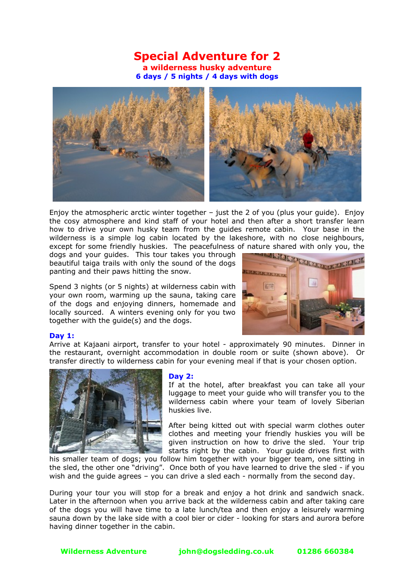## **Special Adventure for 2 a wilderness husky adventure 6 days / 5 nights / 4 days with dogs**



Enjoy the atmospheric arctic winter together  $-$  just the 2 of you (plus your guide). Enjoy the cosy atmosphere and kind staff of your hotel and then after a short transfer learn how to drive your own husky team from the guides remote cabin. Your base in the wilderness is a simple log cabin located by the lakeshore, with no close neighbours,

except for some friendly huskies. The peacefulness of nature shared with only you, the dogs and your guides. This tour takes you through head and the peaceful share is the head of the dogs dogs and your guides. This tour takes you through beautiful taiga trails with only the sound of the dogs panting and their paws hitting the snow.

Spend 3 nights (or 5 nights) at wilderness cabin with your own room, warming up the sauna, taking care of the dogs and enjoying dinners, homemade and locally sourced. A winters evening only for you two together with the guide(s) and the dogs.



## **Day 1:**

Arrive at Kajaani airport, transfer to your hotel - approximately 90 minutes. Dinner in the restaurant, overnight accommodation in double room or suite (shown above). Or transfer directly to wilderness cabin for your evening meal if that is your chosen option.



## **Day 2:**

If at the hotel, after breakfast you can take all your luggage to meet your guide who will transfer you to the wilderness cabin where your team of lovely Siberian huskies live.

After being kitted out with special warm clothes outer clothes and meeting your friendly huskies you will be given instruction on how to drive the sled. Your trip starts right by the cabin. Your guide drives first with

his smaller team of dogs; you follow him together with your bigger team, one sitting in the sled, the other one "driving". Once both of you have learned to drive the sled - if you wish and the guide agrees – you can drive a sled each - normally from the second day.

During your tour you will stop for a break and enjoy a hot drink and sandwich snack. Later in the afternoon when you arrive back at the wilderness cabin and after taking care of the dogs you will have time to a late lunch/tea and then enjoy a leisurely warming sauna down by the lake side with a cool bier or cider - looking for stars and aurora before having dinner together in the cabin.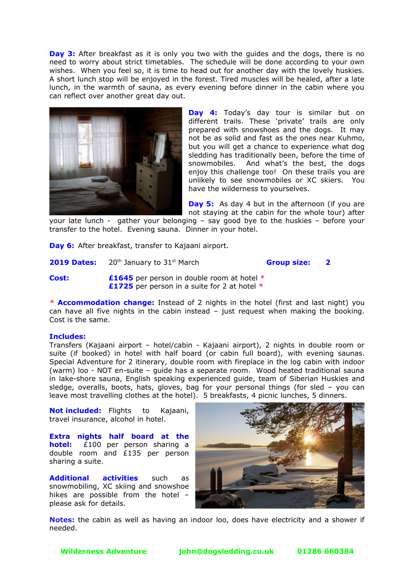**Day 3:** After breakfast as it is only you two with the guides and the dogs, there is no need to worry about strict timetables. The schedule will be done according to your own wishes. When you feel so, it is time to head out for another day with the lovely huskies. A short lunch stop will be enjoyed in the forest. Tired muscles will be healed, after a late lunch, in the warmth of sauna, as every evening before dinner in the cabin where you can reflect over another great day out.



**Day 4:** Today's day tour is similar but on different trails. These 'private' trails are only prepared with snowshoes and the dogs. It may not be as solid and fast as the ones near Kuhmo, but you will get a chance to experience what dog sledding has traditionally been, before the time of snowmobiles. And what's the best, the dogs enjoy this challenge too! On these trails you are unlikely to see snowmobiles or XC skiers. You have the wilderness to yourselves.

**Day 5:** As day 4 but in the afternoon (if you are not staying at the cabin for the whole tour) after

your late lunch - gather your belonging – say good bye to the huskies – before your transfer to the hotel. Evening sauna. Dinner in your hotel.

**Day 6:** After breakfast, transfer to Kajaani airport.

**2019 Dates:** 20<sup>th</sup> January to 31<sup>st</sup> March **Group size: 2** 

**Cost: £1645** per person in double room at hotel **\* £1725** per person in a suite for 2 at hotel **\***

*\** **Accommodation change:** Instead of 2 nights in the hotel (first and last night) you can have all five nights in the cabin instead – just request when making the booking. Cost is the same.

## **Includes:**

Transfers (Kajaani airport – hotel/cabin - Kajaani airport), 2 nights in double room or suite (if booked) in hotel with half board (or cabin full board), with evening saunas. Special Adventure for 2 itinerary, double room with fireplace in the log cabin with indoor (warm) loo - NOT en-suite – guide has a separate room. Wood heated traditional sauna in lake-shore sauna, English speaking experienced guide, team of Siberian Huskies and sledge, overalls, boots, hats, gloves, bag for your personal things (for sled – you can leave most travelling clothes at the hotel). 5 breakfasts, 4 picnic lunches, 5 dinners.

**Not included:** Flights to Kajaani, travel insurance, alcohol in hotel.

**Extra nights half board at the hotel:** £100 per person sharing a double room and £135 per person sharing a suite.

**Additional activities** such as snowmobiling, XC skiing and snowshoe hikes are possible from the hotel – please ask for details.



**Notes:** the cabin as well as having an indoor loo, does have electricity and a shower if needed.